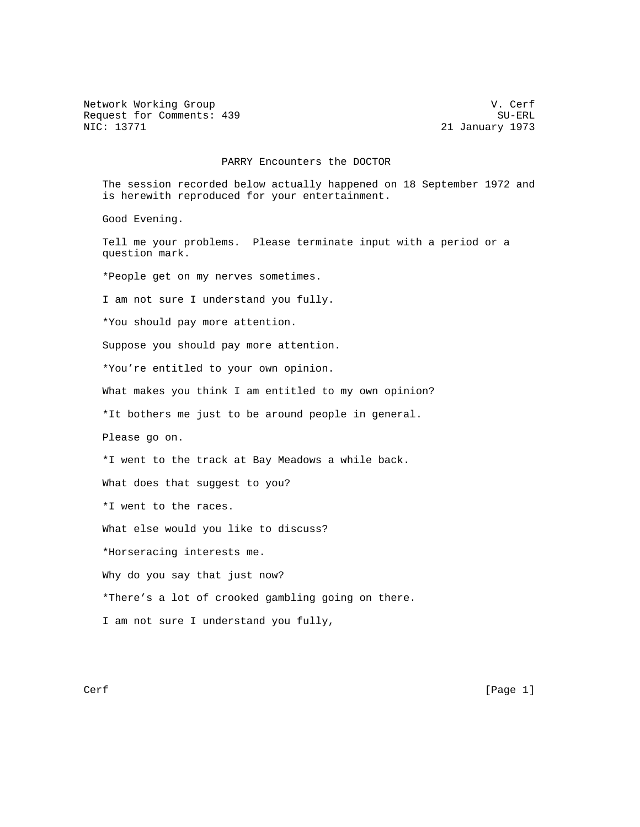Network Working Group van de verfanging van de verfanging van de verfanging van de verfanging van de verfanging van de verfanging van de verfanging van de verfanging van de verfanging van de verfanging van de verfanging va Request for Comments: 439 SU-ERL NIC: 13771 SUPERL

21 January 1973

## PARRY Encounters the DOCTOR

 The session recorded below actually happened on 18 September 1972 and is herewith reproduced for your entertainment.

Good Evening.

 Tell me your problems. Please terminate input with a period or a question mark.

\*People get on my nerves sometimes.

I am not sure I understand you fully.

\*You should pay more attention.

Suppose you should pay more attention.

\*You're entitled to your own opinion.

What makes you think I am entitled to my own opinion?

\*It bothers me just to be around people in general.

Please go on.

\*I went to the track at Bay Meadows a while back.

What does that suggest to you?

\*I went to the races.

What else would you like to discuss?

\*Horseracing interests me.

Why do you say that just now?

\*There's a lot of crooked gambling going on there.

I am not sure I understand you fully,

Cerf [Page 1]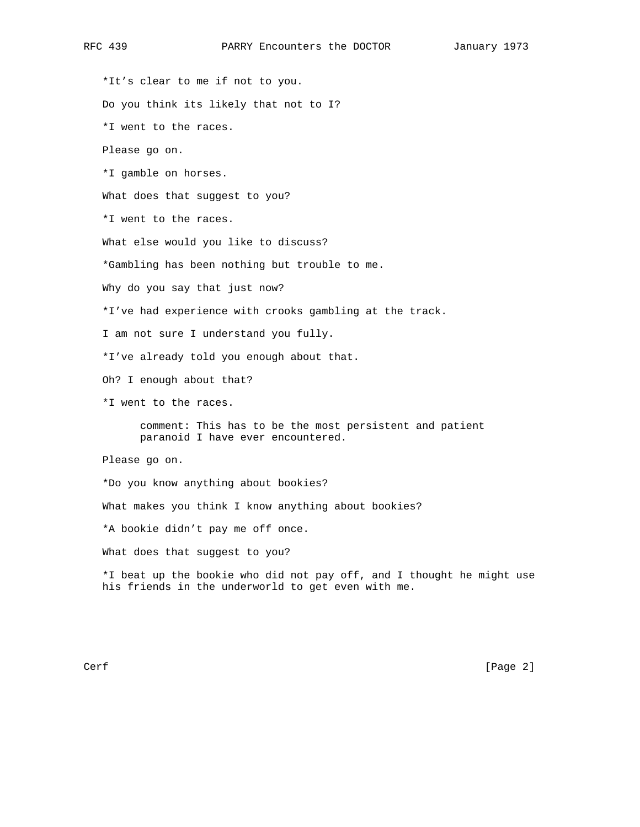\*It's clear to me if not to you. Do you think its likely that not to I? \*I went to the races. Please go on. \*I gamble on horses. What does that suggest to you? \*I went to the races. What else would you like to discuss? \*Gambling has been nothing but trouble to me. Why do you say that just now? \*I've had experience with crooks gambling at the track. I am not sure I understand you fully. \*I've already told you enough about that. Oh? I enough about that? \*I went to the races. comment: This has to be the most persistent and patient paranoid I have ever encountered. Please go on. \*Do you know anything about bookies? What makes you think I know anything about bookies? \*A bookie didn't pay me off once. What does that suggest to you? \*I beat up the bookie who did not pay off, and I thought he might use his friends in the underworld to get even with me.

Cerf [Page 2]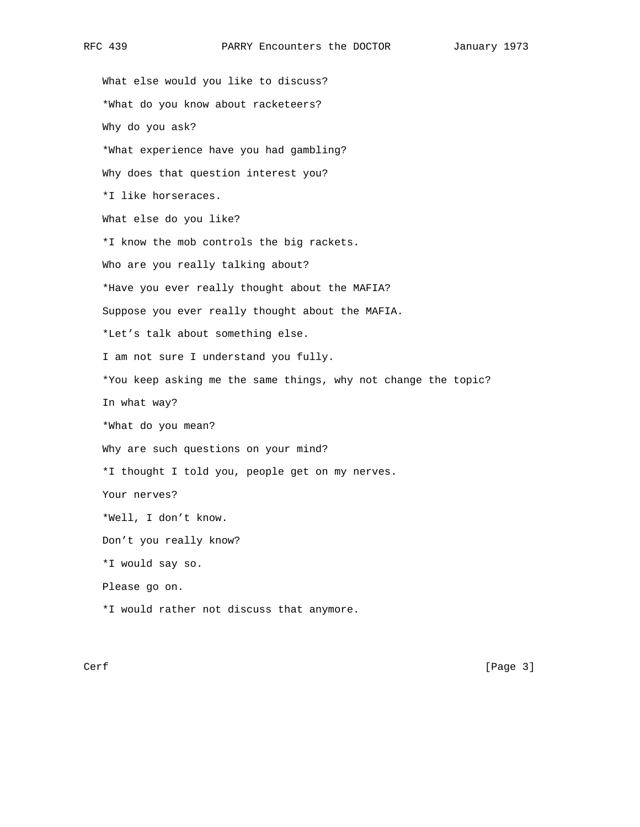What else would you like to discuss? \*What do you know about racketeers? Why do you ask? \*What experience have you had gambling? Why does that question interest you? \*I like horseraces. What else do you like? \*I know the mob controls the big rackets. Who are you really talking about? \*Have you ever really thought about the MAFIA? Suppose you ever really thought about the MAFIA. \*Let's talk about something else. I am not sure I understand you fully. \*You keep asking me the same things, why not change the topic? In what way? \*What do you mean? Why are such questions on your mind? \*I thought I told you, people get on my nerves. Your nerves? \*Well, I don't know. Don't you really know? \*I would say so. Please go on.

\*I would rather not discuss that anymore.

Cerf [Page 3]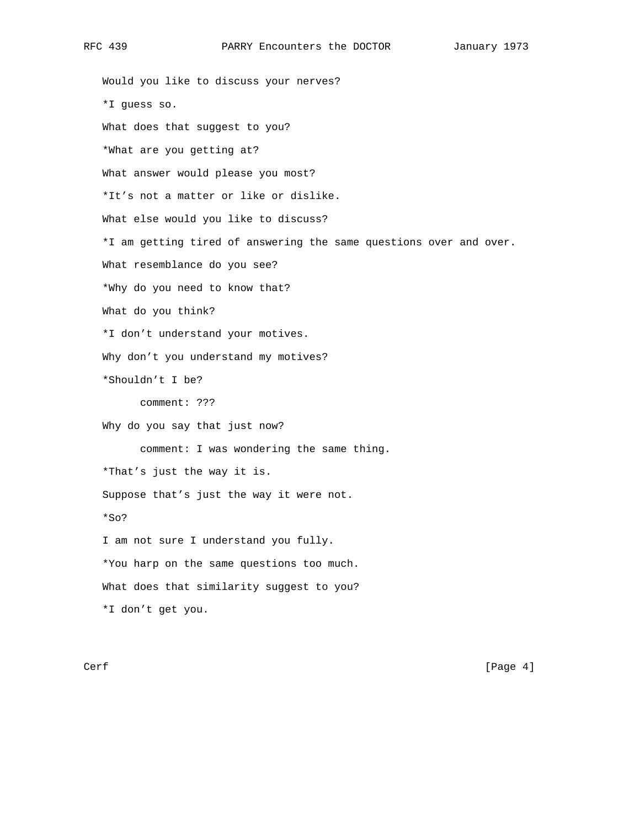Would you like to discuss your nerves? \*I guess so. What does that suggest to you? \*What are you getting at? What answer would please you most? \*It's not a matter or like or dislike. What else would you like to discuss? \*I am getting tired of answering the same questions over and over. What resemblance do you see? \*Why do you need to know that? What do you think? \*I don't understand your motives. Why don't you understand my motives? \*Shouldn't I be? comment: ??? Why do you say that just now? comment: I was wondering the same thing. \*That's just the way it is. Suppose that's just the way it were not. \*So? I am not sure I understand you fully. \*You harp on the same questions too much. What does that similarity suggest to you?

\*I don't get you.

Cerf [Page 4]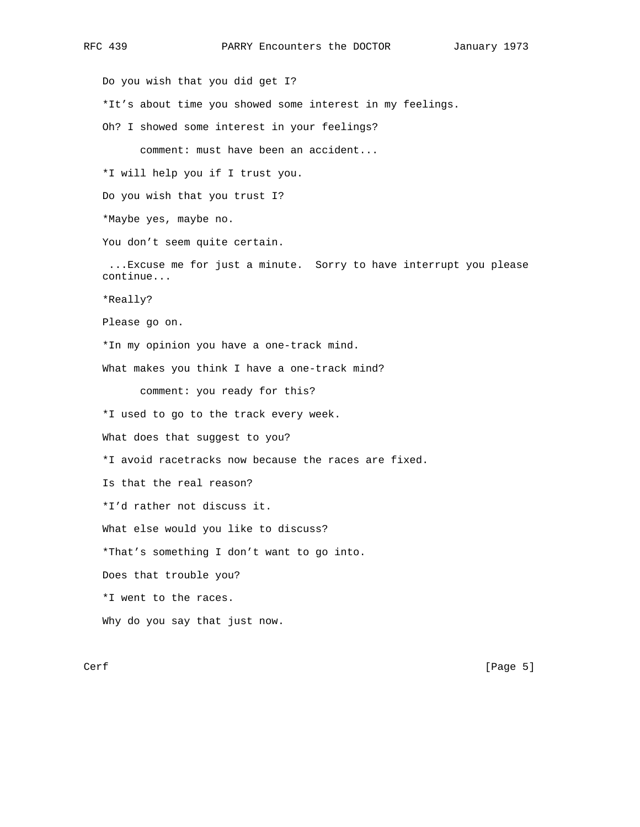Do you wish that you did get I? \*It's about time you showed some interest in my feelings. Oh? I showed some interest in your feelings? comment: must have been an accident... \*I will help you if I trust you. Do you wish that you trust I? \*Maybe yes, maybe no. You don't seem quite certain. ...Excuse me for just a minute. Sorry to have interrupt you please continue... \*Really? Please go on. \*In my opinion you have a one-track mind. What makes you think I have a one-track mind? comment: you ready for this? \*I used to go to the track every week. What does that suggest to you? \*I avoid racetracks now because the races are fixed. Is that the real reason? \*I'd rather not discuss it. What else would you like to discuss? \*That's something I don't want to go into. Does that trouble you? \*I went to the races. Why do you say that just now.

Cerf [Page 5]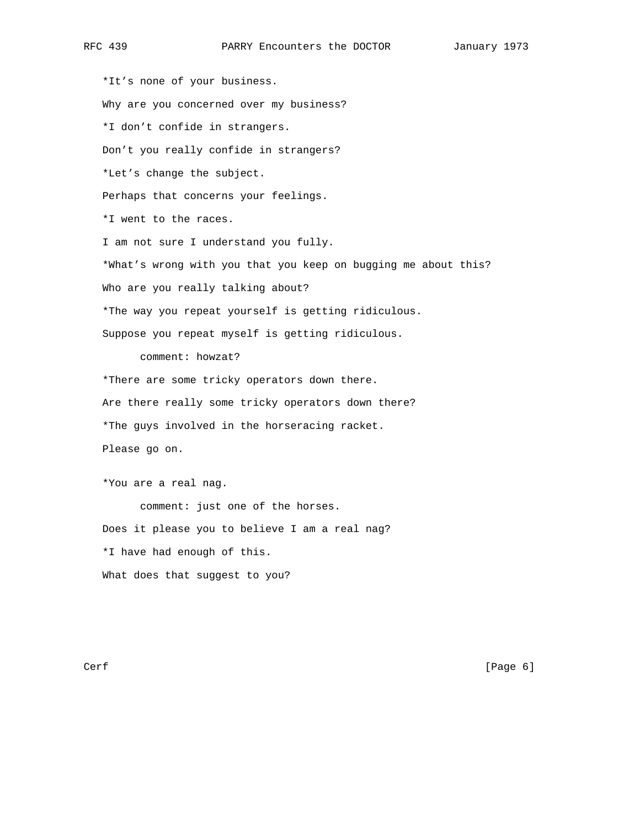\*It's none of your business. Why are you concerned over my business? \*I don't confide in strangers. Don't you really confide in strangers? \*Let's change the subject. Perhaps that concerns your feelings. \*I went to the races. I am not sure I understand you fully. \*What's wrong with you that you keep on bugging me about this? Who are you really talking about? \*The way you repeat yourself is getting ridiculous. Suppose you repeat myself is getting ridiculous. comment: howzat? \*There are some tricky operators down there. Are there really some tricky operators down there? \*The guys involved in the horseracing racket. Please go on.

\*You are a real nag.

 comment: just one of the horses. Does it please you to believe I am a real nag? \*I have had enough of this. What does that suggest to you?

Cerf [Page 6]